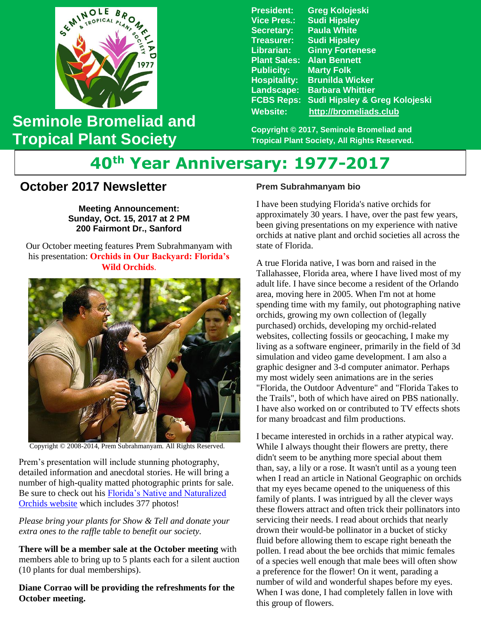

## **Seminole Bromeliad and Tropical Plant Society**

**President: Greg Kolojeski Vice Pres.: Sudi Hipsley Secretary: Paula White Treasurer: Sudi Hipsley Librarian: Ginny Fortenese Plant Sales: Alan Bennett Marty Folk Hospitality: Brunilda Wicker Landscape: Barbara Whittier FCBS Reps: Sudi Hipsley & Greg Kolojeski Website: [http://bromeliads.club](http://bromeliads.club/)**

**Copyright © 2017, Seminole Bromeliad and Tropical Plant Society, All Rights Reserved.**

# **40th Year Anniversary: 1977-2017**

### **October 2017 Newsletter**

**Meeting Announcement: Sunday, Oct. 15, 2017 at 2 PM 200 Fairmont Dr., Sanford**

 his presentation: **Orchids in Our Backyard: Florida's Wild Orchids**. Our October meeting features Prem Subrahmanyam with



Copyright © 2008-2014, Prem Subrahmanyam. All Rights Reserved.

Prem's presentation will include stunning photography, detailed information and anecdotal stories. He will bring a number of high-quality matted photographic prints for sale. Be sure to check out his [Florida's Native and Naturalized](http://flnativeorchids.com/index2.htm)  [Orchids website](http://flnativeorchids.com/index2.htm) which includes 377 photos!

*Please bring your plants for Show & Tell and donate your extra ones to the raffle table to benefit our society.*

**There will be a member sale at the October meeting** with members able to bring up to 5 plants each for a silent auction (10 plants for dual memberships).

**Diane Corrao will be providing the refreshments for the October meeting.**

#### **Prem Subrahmanyam bio**

I have been studying Florida's native orchids for approximately 30 years. I have, over the past few years, been giving presentations on my experience with native orchids at native plant and orchid societies all across the state of Florida.

A true Florida native, I was born and raised in the Tallahassee, Florida area, where I have lived most of my adult life. I have since become a resident of the Orlando area, moving here in 2005. When I'm not at home spending time with my family, out photographing native orchids, growing my own collection of (legally purchased) orchids, developing my orchid-related websites, collecting fossils or geocaching, I make my living as a software engineer, primarily in the field of 3d simulation and video game development. I am also a graphic designer and 3-d computer animator. Perhaps my most widely seen animations are in the series "Florida, the Outdoor Adventure" and "Florida Takes to the Trails", both of which have aired on PBS nationally. I have also worked on or contributed to TV effects shots for many broadcast and film productions.

 I became interested in orchids in a rather atypical way. While I always thought their flowers are pretty, there didn't seem to be anything more special about them than, say, a lily or a rose. It wasn't until as a young teen when I read an article in National Geographic on orchids that my eyes became opened to the uniqueness of this family of plants. I was intrigued by all the clever ways these flowers attract and often trick their pollinators into servicing their needs. I read about orchids that nearly drown their would-be pollinator in a bucket of sticky fluid before allowing them to escape right beneath the pollen. I read about the bee orchids that mimic females of a species well enough that male bees will often show a preference for the flower! On it went, parading a number of wild and wonderful shapes before my eyes. When I was done, I had completely fallen in love with this group of flowers.